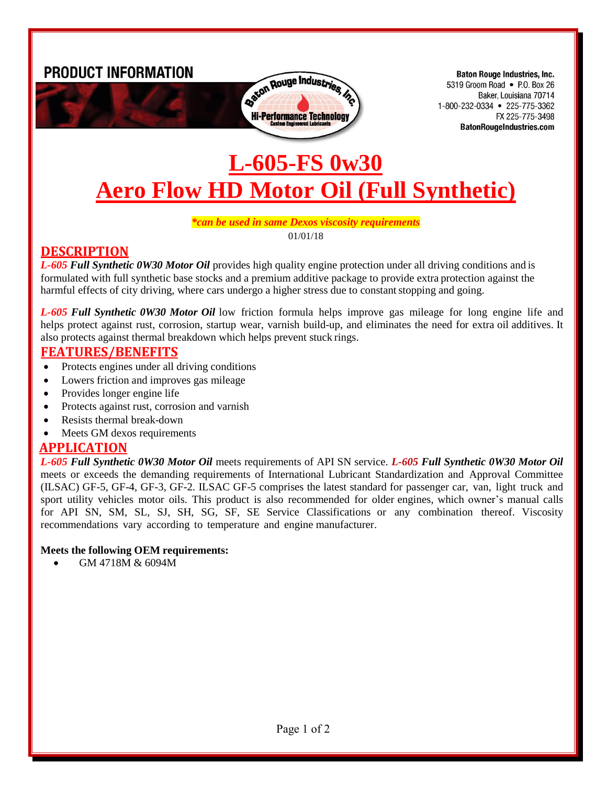**PRODUCT INFORMATION** 



**Baton Rouge Industries, Inc.** 5319 Groom Road • P.O. Box 26 Baker, Louisiana 70714 1-800-232-0334 • 225-775-3362 FX 225-775-3498 **BatonRougeIndustries.com** 

# **L-605-FS 0w30 Aero Flow HD Motor Oil (Full Synthetic)**

#### *\*can be used in same Dexos viscosity requirements* 01/01/18

## **DESCRIPTION**

*L-605 Full Synthetic 0W30 Motor Oil* provides high quality engine protection under all driving conditions and is formulated with full synthetic base stocks and a premium additive package to provide extra protection against the harmful effects of city driving, where cars undergo a higher stress due to constant stopping and going.

*L-605 Full Synthetic 0W30 Motor Oil* low friction formula helps improve gas mileage for long engine life and helps protect against rust, corrosion, startup wear, varnish build-up, and eliminates the need for extra oil additives. It also protects against thermal breakdown which helps prevent stuck rings.

#### **FEATURES/BENEFITS**

- Protects engines under all driving conditions
- Lowers friction and improves gas mileage
- Provides longer engine life
- Protects against rust, corrosion and varnish
- Resists thermal break-down
- Meets GM dexos requirements

## **APPLICATION**

*L-605 Full Synthetic 0W30 Motor Oil* meets requirements of API SN service. *L-605 Full Synthetic 0W30 Motor Oil* meets or exceeds the demanding requirements of International Lubricant Standardization and Approval Committee (ILSAC) GF-5, GF-4, GF-3, GF-2. ILSAC GF-5 comprises the latest standard for passenger car, van, light truck and sport utility vehicles motor oils. This product is also recommended for older engines, which owner's manual calls for API SN, SM, SL, SJ, SH, SG, SF, SE Service Classifications or any combination thereof. Viscosity recommendations vary according to temperature and engine manufacturer.

#### **Meets the following OEM requirements:**

GM 4718M & 6094M